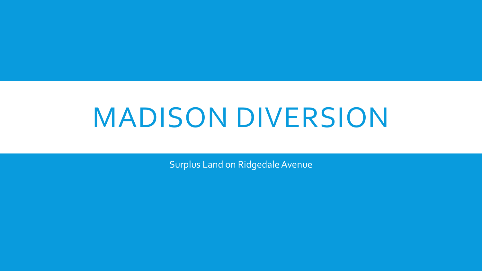# MADISON DIVERSION

Surplus Land on Ridgedale Avenue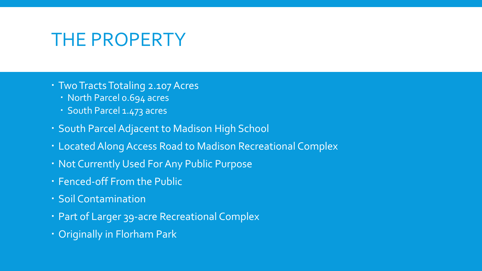# THE PROPERTY

- Two Tracts Totaling 2.107 Acres
	- North Parcel 0.694 acres
	- South Parcel 1.473 acres
- South Parcel Adjacent to Madison High School
- Located Along Access Road to Madison Recreational Complex
- Not Currently Used For Any Public Purpose
- Fenced-off From the Public
- Soil Contamination
- Part of Larger 39-acre Recreational Complex
- Originally in Florham Park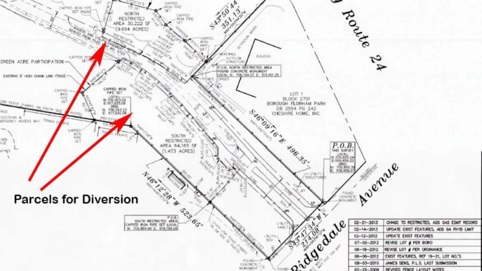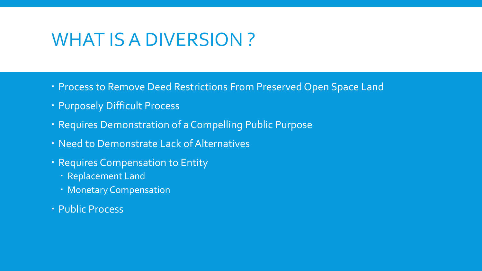# WHAT IS A DIVERSION ?

- Process to Remove Deed Restrictions From Preserved Open Space Land
- · Purposely Difficult Process
- Requires Demonstration of a Compelling Public Purpose
- Need to Demonstrate Lack of Alternatives
- Requires Compensation to Entity
	- Replacement Land
	- Monetary Compensation
- Public Process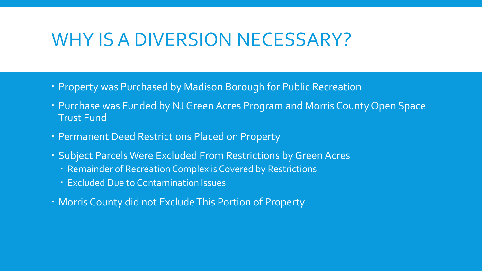## WHY IS A DIVERSION NECESSARY?

- Property was Purchased by Madison Borough for Public Recreation
- Purchase was Funded by NJ Green Acres Program and Morris County Open Space Trust Fund
- Permanent Deed Restrictions Placed on Property
- Subject Parcels Were Excluded From Restrictions by Green Acres
	- Remainder of Recreation Complex is Covered by Restrictions
	- Excluded Due to Contamination Issues
- Morris County did not Exclude This Portion of Property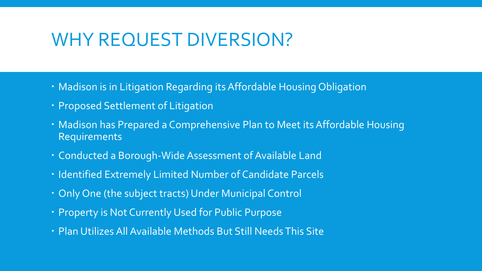# WHY REQUEST DIVERSION?

- Madison is in Litigation Regarding its Affordable Housing Obligation
- Proposed Settlement of Litigation
- Madison has Prepared a Comprehensive Plan to Meet its Affordable Housing Requirements
- Conducted a Borough-Wide Assessment of Available Land
- Identified Extremely Limited Number of Candidate Parcels
- Only One (the subject tracts) Under Municipal Control
- Property is Not Currently Used for Public Purpose
- Plan Utilizes All Available Methods But Still Needs This Site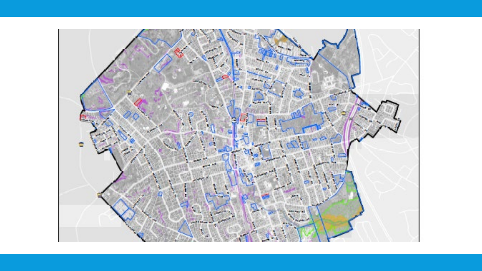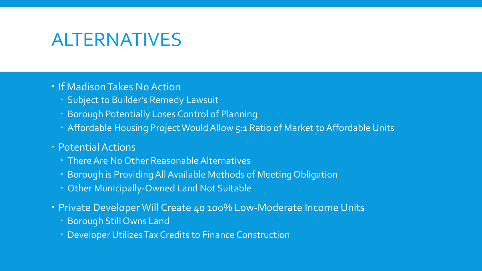# ALTERNATIVES

#### **· If Madison Takes No Action**

- Subject to Builder's Remedy Lawsuit
- Borough Potentially Loses Control of Planning
- Affordable Housing Project Would Allow 5:1 Ratio of Market to Affordable Units
- Potential Actions
	- There Are No Other Reasonable Alternatives
	- Borough is Providing All Available Methods of Meeting Obligation
	- Other Municipally-Owned Land Not Suitable
- Private Developer Will Create 40 100% Low-Moderate Income Units
	- Borough Still Owns Land
	- Developer Utilizes Tax Credits to Finance Construction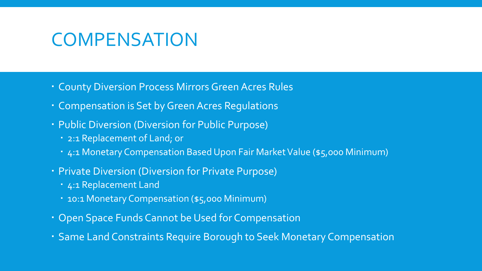## COMPENSATION

- County Diversion Process Mirrors Green Acres Rules
- Compensation is Set by Green Acres Regulations
- Public Diversion (Diversion for Public Purpose)
	- 2:1 Replacement of Land; or
	- 4:1 Monetary Compensation Based Upon Fair Market Value (\$5,000 Minimum)
- Private Diversion (Diversion for Private Purpose)
	- 4:1 Replacement Land
	- 10:1 Monetary Compensation (\$5,000 Minimum)
- Open Space Funds Cannot be Used for Compensation
- Same Land Constraints Require Borough to Seek Monetary Compensation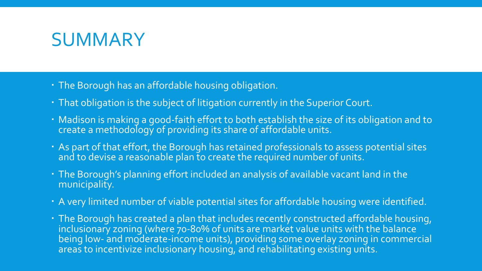# **SUMMARY**

- The Borough has an affordable housing obligation.
- That obligation is the subject of litigation currently in the Superior Court.
- Madison is making a good-faith effort to both establish the size of its obligation and to create a methodology of providing its share of affordable units.
- As part of that effort, the Borough has retained professionals to assess potential sites and to devise a reasonable plan to create the required number of units.
- The Borough's planning effort included an analysis of available vacant land in the municipality.
- A very limited number of viable potential sites for affordable housing were identified.
- The Borough has created a plan that includes recently constructed affordable housing, inclusionary zoning (where 70-80% of units are market value units with the balance being low- and moderate-income units), providing some overlay zoning in commercial areas to incentivize inclusionary housing, and rehabilitating existing units.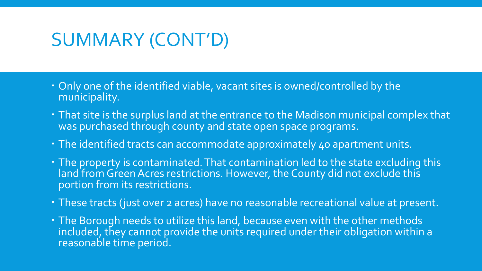# SUMMARY (CONT'D)

- Only one of the identified viable, vacant sites is owned/controlled by the municipality.
- That site is the surplus land at the entrance to the Madison municipal complex that was purchased through county and state open space programs.
- . The identified tracts can accommodate approximately 40 apartment units.
- The property is contaminated. That contamination led to the state excluding this land from Green Acres restrictions. However, the County did not exclude this portion from its restrictions.
- These tracts (just over 2 acres) have no reasonable recreational value at present.
- The Borough needs to utilize this land, because even with the other methods included, they cannot provide the units required under their obligation within a reasonable time period.